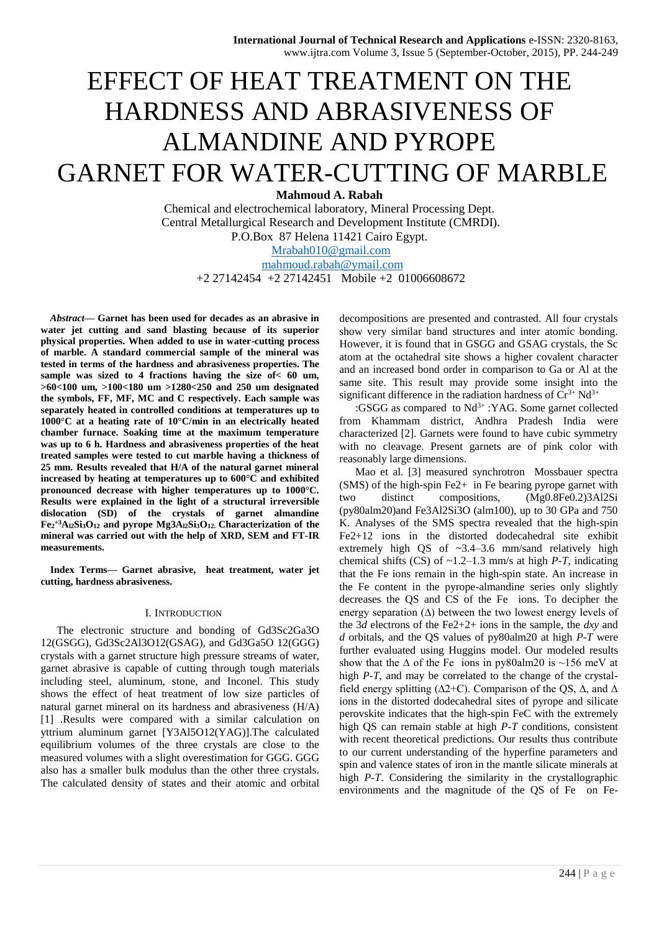# EFFECT OF HEAT TREATMENT ON THE HARDNESS AND ABRASIVENESS OF ALMANDINE AND PYROPE GARNET FOR WATER-CUTTING OF MARBLE

**Mahmoud A. Rabah** 

Chemical and electrochemical laboratory, Mineral Processing Dept. Central Metallurgical Research and Development Institute (CMRDI). P.O.Box 87 Helena 11421 Cairo Egypt.

[Mrabah010@gmail.com](mailto:Mrabah010@gmail.com) [mahmoud.rabah@ymail.com](mailto:mahmoud.rabah@ymail.com)  +2 27142454 +2 27142451 Mobile +2 01006608672

*Abstract***— Garnet has been used for decades as an abrasive in water jet cutting and sand blasting because of its superior physical properties. When added to use in water-cutting process of marble. A standard commercial sample of the mineral was tested in terms of the hardness and abrasiveness properties. The sample was sized to 4 fractions having the size of< 60 um, >60<100 um, >100<180 um >1280<250 and 250 um designated the symbols, FF, MF, MC and C respectively. Each sample was separately heated in controlled conditions at temperatures up to 1000°C at a heating rate of 10°C/min in an electrically heated chamber furnace. Soaking time at the maximum temperature was up to 6 h. Hardness and abrasiveness properties of the heat treated samples were tested to cut marble having a thickness of 25 mm. Results revealed that H/A of the natural garnet mineral increased by heating at temperatures up to 600°C and exhibited pronounced decrease with higher temperatures up to 1000°C. Results were explained in the light of a structural irreversible dislocation (SD) of the crystals of garnet almandine Fe<sup>2</sup> +3Al2Si3O12 and pyrope Mg3Al2Si3O12. Characterization of the mineral was carried out with the help of XRD, SEM and FT-IR measurements.** 

**Index Terms— Garnet abrasive, heat treatment, water jet cutting, hardness abrasiveness.** 

#### I. INTRODUCTION

The electronic structure and bonding of Gd3Sc2Ga3O 12(GSGG), Gd3Sc2Al3O12(GSAG), and Gd3Ga5O 12(GGG) crystals with a garnet structure high pressure streams of water, garnet abrasive is capable of cutting through tough materials including steel, aluminum, stone, and Inconel. This study shows the effect of heat treatment of low size particles of natural garnet mineral on its hardness and abrasiveness (H/A) [1] .Results were compared with a similar calculation on yttrium aluminum garnet [Y3Al5O12(YAG)].The calculated equilibrium volumes of the three crystals are close to the measured volumes with a slight overestimation for GGG. GGG also has a smaller bulk modulus than the other three crystals. The calculated density of states and their atomic and orbital

decompositions are presented and contrasted. All four crystals show very similar band structures and inter atomic bonding. However, it is found that in GSGG and GSAG crystals, the Sc atom at the octahedral site shows a higher covalent character and an increased bond order in comparison to Ga or Al at the same site. This result may provide some insight into the significant difference in the radiation hardness of  $Cr^{3+}Nd^{3+}$ 

:GSGG as compared to  $Nd^{3+}$ :YAG. Some garnet collected from Khammam district, Andhra Pradesh India were characterized [2]. Garnets were found to have cubic symmetry with no cleavage. Present garnets are of pink color with reasonably large dimensions.

Mao et al. [3] measured synchrotron Mossbauer spectra (SMS) of the high-spin Fe2+ in Fe bearing pyrope garnet with two distinct compositions, (Mg0.8Fe0.2)3Al2Si (py80alm20)and Fe3Al2Si3O (alm100), up to 30 GPa and 750 K. Analyses of the SMS spectra revealed that the high-spin Fe2+12 ions in the distorted dodecahedral site exhibit extremely high QS of ~3.4–3.6 mm/sand relatively high chemical shifts (CS) of ~1.2–1.3 mm/s at high *P-T*, indicating that the Fe ions remain in the high-spin state. An increase in the Fe content in the pyrope-almandine series only slightly decreases the QS and CS of the Fe ions. To decipher the energy separation  $(\Delta)$  between the two lowest energy levels of the 3*d* electrons of the Fe2+2+ ions in the sample, the *dxy* and *d* orbitals, and the QS values of py80alm20 at high *P-T* were further evaluated using Huggins model. Our modeled results show that the  $\triangle$  of the Fe ions in py80alm20 is ~156 meV at high *P-T*, and may be correlated to the change of the crystalfield energy splitting ( $\Delta$ 2+C). Comparison of the QS,  $\Delta$ , and  $\Delta$ ions in the distorted dodecahedral sites of pyrope and silicate perovskite indicates that the high-spin FeC with the extremely high QS can remain stable at high *P-T* conditions, consistent with recent theoretical predictions. Our results thus contribute to our current understanding of the hyperfine parameters and spin and valence states of iron in the mantle silicate minerals at high *P-T*. Considering the similarity in the crystallographic environments and the magnitude of the QS of Fe on Fe-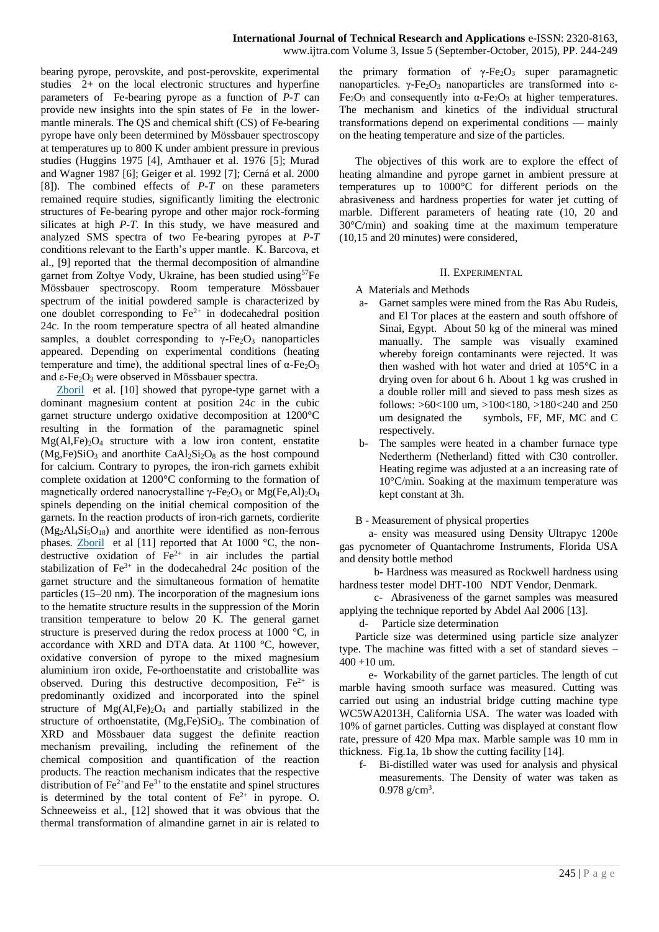bearing pyrope, perovskite, and post-perovskite, experimental studies 2+ on the local electronic structures and hyperfine parameters of Fe-bearing pyrope as a function of *P-T* can provide new insights into the spin states of Fe in the lowermantle minerals. The QS and chemical shift (CS) of Fe-bearing pyrope have only been determined by Mössbauer spectroscopy at temperatures up to 800 K under ambient pressure in previous studies (Huggins 1975 [4], Amthauer et al. 1976 [5]; Murad and Wagner 1987 [6]; Geiger et al. 1992 [7]; Cerná et al. 2000 [8]). The combined effects of *P-T* on these parameters remained require studies, significantly limiting the electronic structures of Fe-bearing pyrope and other major rock-forming silicates at high *P-T*. In this study, we have measured and analyzed SMS spectra of two Fe-bearing pyropes at *P-T* conditions relevant to the Earth's upper mantle. K. Barcova, et al., [9] reported that the thermal decomposition of almandine garnet from Zoltye Vody, Ukraine, has been studied using<sup>57</sup>Fe Mössbauer spectroscopy. Room temperature Mössbauer spectrum of the initial powdered sample is characterized by one doublet corresponding to  $Fe<sup>2+</sup>$  in dodecahedral position 24c. In the room temperature spectra of all heated almandine samples, a doublet corresponding to  $\gamma$ -Fe<sub>2</sub>O<sub>3</sub> nanoparticles appeared. Depending on experimental conditions (heating temperature and time), the additional spectral lines of  $\alpha$ -Fe<sub>2</sub>O<sub>3</sub> and ε-Fe2O3 were observed in Mössbauer spectra.

[Zboril](http://link.springer.com/search?facet-creator=%22R.+Zboril%22) et al. [10] showed that pyrope-type garnet with a dominant magnesium content at position 24*c* in the cubic garnet structure undergo oxidative decomposition at 1200°C resulting in the formation of the paramagnetic spinel  $Mg(AI,Fe)_{2}O_{4}$  structure with a low iron content, enstatite  $(Mg,Fe)SiO<sub>3</sub>$  and anorthite CaAl<sub>2</sub>Si<sub>2</sub>O<sub>8</sub> as the host compound for calcium. Contrary to pyropes, the iron-rich garnets exhibit complete oxidation at 1200°C conforming to the formation of magnetically ordered nanocrystalline  $\gamma$ -Fe<sub>2</sub>O<sub>3</sub> or Mg(Fe,Al)<sub>2</sub>O<sub>4</sub> spinels depending on the initial chemical composition of the garnets. In the reaction products of iron-rich garnets, cordierite  $(Mg<sub>2</sub>Al<sub>4</sub>Si<sub>5</sub>O<sub>18</sub>)$  and anorthite were identified as non-ferrous phases. [Zboril](http://link.springer.com/search?facet-creator=%22R.+Zboril%22) et al [11] reported that At 1000 °C, the nondestructive oxidation of  $Fe^{2+}$  in air includes the partial stabilization of  $Fe<sup>3+</sup>$  in the dodecahedral 24*c* position of the garnet structure and the simultaneous formation of hematite particles (15–20 nm). The incorporation of the magnesium ions to the hematite structure results in the suppression of the Morin transition temperature to below 20 K. The general garnet structure is preserved during the redox process at  $1000 \degree C$ , in accordance with XRD and DTA data. At 1100 °C, however, oxidative conversion of pyrope to the mixed magnesium aluminium iron oxide, Fe-orthoenstatite and cristoballite was observed. During this destructive decomposition,  $Fe^{2+}$  is predominantly oxidized and incorporated into the spinel structure of  $Mg(Al,Fe)<sub>2</sub>O<sub>4</sub>$  and partially stabilized in the structure of orthoenstatite,  $(Mg,Fe)SiO<sub>3</sub>$ . The combination of XRD and Mössbauer data suggest the definite reaction mechanism prevailing, including the refinement of the chemical composition and quantification of the reaction products. The reaction mechanism indicates that the respective distribution of  $\text{Fe}^{2+}$  and  $\text{Fe}^{3+}$  to the enstatite and spinel structures is determined by the total content of  $Fe<sup>2+</sup>$  in pyrope. O. Schneeweiss et al., [12] showed that it was obvious that the thermal transformation of almandine garnet in air is related to

the primary formation of  $\gamma$ -Fe<sub>2</sub>O<sub>3</sub> super paramagnetic nanoparticles. γ-Fe<sub>2</sub>O<sub>3</sub> nanoparticles are transformed into  $ε$ -Fe<sub>2</sub>O<sub>3</sub> and consequently into  $\alpha$ -Fe<sub>2</sub>O<sub>3</sub> at higher temperatures. The mechanism and kinetics of the individual structural transformations depend on experimental conditions — mainly on the heating temperature and size of the particles.

The objectives of this work are to explore the effect of heating almandine and pyrope garnet in ambient pressure at temperatures up to 1000°C for different periods on the abrasiveness and hardness properties for water jet cutting of marble. Different parameters of heating rate (10, 20 and 30°C/min) and soaking time at the maximum temperature (10,15 and 20 minutes) were considered,

#### II. EXPERIMENTAL

A Materials and Methods

- a- Garnet samples were mined from the Ras Abu Rudeis, and El Tor places at the eastern and south offshore of Sinai, Egypt. About 50 kg of the mineral was mined manually. The sample was visually examined whereby foreign contaminants were rejected. It was then washed with hot water and dried at 105°C in a drying oven for about 6 h. About 1 kg was crushed in a double roller mill and sieved to pass mesh sizes as follows: >60<100 um, >100<180, >180<240 and 250 um designated the symbols, FF, MF, MC and C respectively.
- b- The samples were heated in a chamber furnace type Nedertherm (Netherland) fitted with C30 controller. Heating regime was adjusted at a an increasing rate of 10°C/min. Soaking at the maximum temperature was kept constant at 3h.

## B - Measurement of physical properties

 a- ensity was measured using Density Ultrapyc 1200e gas pycnometer of Quantachrome Instruments, Florida USA and density bottle method

 b- Hardness was measured as Rockwell hardness using hardness tester model DHT-100 NDT Vendor, Denmark.

 c- Abrasiveness of the garnet samples was measured applying the technique reported by Abdel Aal 2006 [13].

d- Particle size determination

Particle size was determined using particle size analyzer type. The machine was fitted with a set of standard sieves –  $400 + 10$  um.

 e- Workability of the garnet particles. The length of cut marble having smooth surface was measured. Cutting was carried out using an industrial bridge cutting machine type WC5WA2013H, California USA. The water was loaded with 10% of garnet particles. Cutting was displayed at constant flow rate, pressure of 420 Mpa max. Marble sample was 10 mm in thickness. Fig.1a, 1b show the cutting facility [14].

f- Bi-distilled water was used for analysis and physical measurements. The Density of water was taken as  $0.978$  g/cm<sup>3</sup>.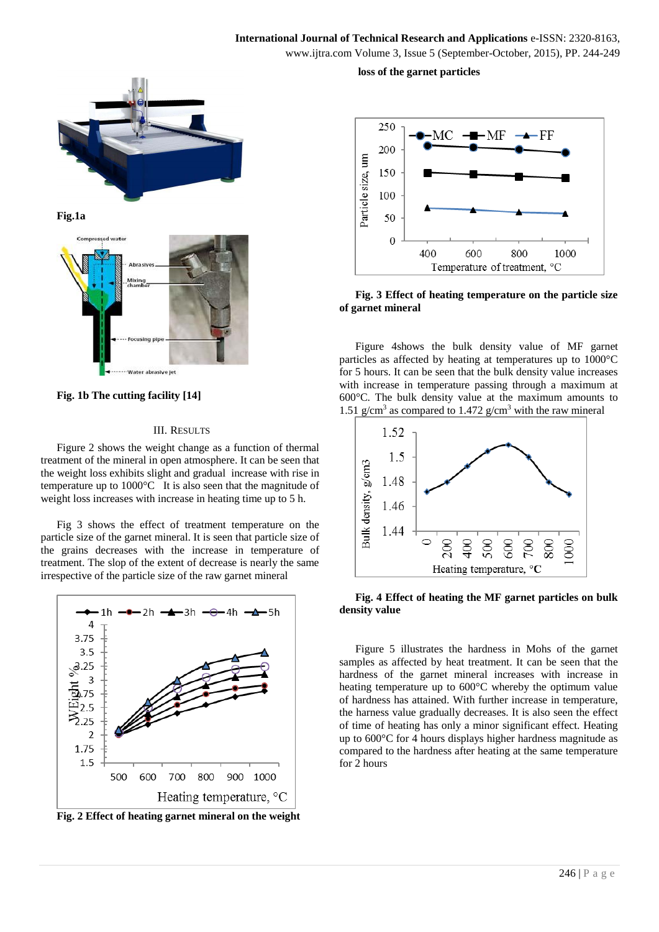# **International Journal of Technical Research and Applications** e-ISSN: 2320-8163, www.ijtra.com Volume 3, Issue 5 (September-October, 2015), PP. 244-249

 **loss of the garnet particles** 



**Fig. 1b The cutting facility [14]** 

## III. RESULTS

Figure 2 shows the weight change as a function of thermal treatment of the mineral in open atmosphere. It can be seen that the weight loss exhibits slight and gradual increase with rise in temperature up to 1000°C It is also seen that the magnitude of weight loss increases with increase in heating time up to 5 h.

Fig 3 shows the effect of treatment temperature on the particle size of the garnet mineral. It is seen that particle size of the grains decreases with the increase in temperature of treatment. The slop of the extent of decrease is nearly the same irrespective of the particle size of the raw garnet mineral



**Fig. 2 Effect of heating garnet mineral on the weight** 



**Fig. 3 Effect of heating temperature on the particle size of garnet mineral** 

Figure 4shows the bulk density value of MF garnet particles as affected by heating at temperatures up to 1000°C for 5 hours. It can be seen that the bulk density value increases with increase in temperature passing through a maximum at 600°C. The bulk density value at the maximum amounts to 1.51 g/cm<sup>3</sup> as compared to 1.472 g/cm<sup>3</sup> with the raw mineral



**Fig. 4 Effect of heating the MF garnet particles on bulk density value** 

Figure 5 illustrates the hardness in Mohs of the garnet samples as affected by heat treatment. It can be seen that the hardness of the garnet mineral increases with increase in heating temperature up to 600°C whereby the optimum value of hardness has attained. With further increase in temperature, the harness value gradually decreases. It is also seen the effect of time of heating has only a minor significant effect. Heating up to 600°C for 4 hours displays higher hardness magnitude as compared to the hardness after heating at the same temperature for 2 hours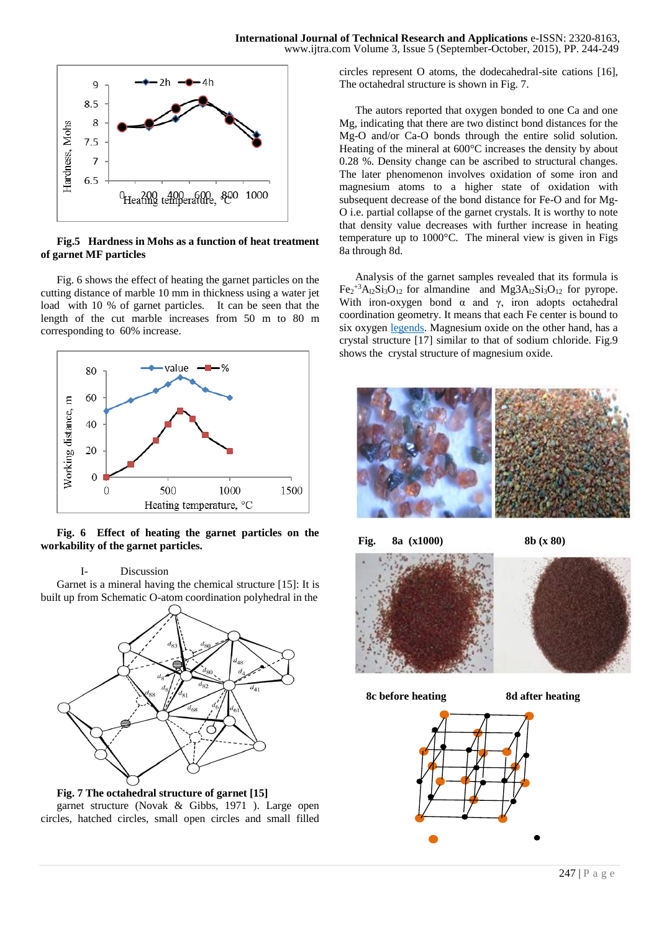

## **Fig.5 Hardness in Mohs as a function of heat treatment of garnet MF particles**

Fig. 6 shows the effect of heating the garnet particles on the cutting distance of marble 10 mm in thickness using a water jet load with 10 % of garnet particles. It can be seen that the length of the cut marble increases from 50 m to 80 m corresponding to 60% increase.



**Fig. 6 Effect of heating the garnet particles on the workability of the garnet particles.** 

## I- Discussion

Garnet is a mineral having the chemical structure [15]: It is built up from Schematic O-atom coordination polyhedral in the



**Fig. 7 The octahedral structure of garnet [15]**  garnet structure (Novak & Gibbs, 1971 ). Large open circles, hatched circles, small open circles and small filled

circles represent O atoms, the dodecahedral-site cations [16], The octahedral structure is shown in Fig. 7.

The autors reported that oxygen bonded to one Ca and one Mg, indicating that there are two distinct bond distances for the Mg-O and/or Ca-O bonds through the entire solid solution. Heating of the mineral at 600°C increases the density by about 0.28 %. Density change can be ascribed to structural changes. The later phenomenon involves oxidation of some iron and magnesium atoms to a higher state of oxidation with subsequent decrease of the bond distance for Fe-O and for Mg-O i.e. partial collapse of the garnet crystals. It is worthy to note that density value decreases with further increase in heating temperature up to 1000°C. The mineral view is given in Figs 8a through 8d.

Analysis of the garnet samples revealed that its formula is  $Fe<sub>2</sub><sup>+3</sup>A<sub>12</sub>Si<sub>3</sub>O<sub>12</sub>$  for almandine and Mg3A<sub>12</sub>Si<sub>3</sub>O<sub>12</sub> for pyrope. With iron-oxygen bond  $\alpha$  and  $\gamma$ , iron adopts octahedral coordination geometry. It means that each Fe center is bound to six oxygen [legends.](https://en.wikipedia.org/wiki/Ligand) Magnesium oxide on the other hand, has a crystal structure [17] similar to that of sodium chloride. Fig.9 shows the crystal structure of magnesium oxide.



Fig. 8a (x1000) 8b (x 80)



**8c before heating 8d after heating** 

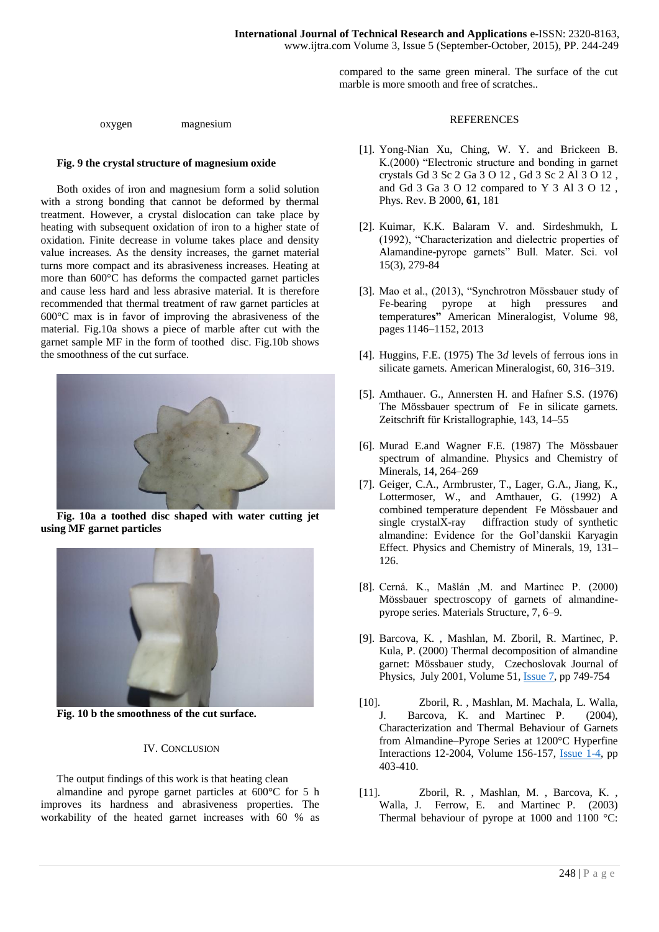compared to the same green mineral. The surface of the cut marble is more smooth and free of scratches..

oxygen magnesium

#### **Fig. 9 the crystal structure of magnesium oxide**

Both oxides of iron and magnesium form a solid solution with a strong bonding that cannot be deformed by thermal treatment. However, a crystal dislocation can take place by heating with subsequent oxidation of iron to a higher state of oxidation. Finite decrease in volume takes place and density value increases. As the density increases, the garnet material turns more compact and its abrasiveness increases. Heating at more than 600°C has deforms the compacted garnet particles and cause less hard and less abrasive material. It is therefore recommended that thermal treatment of raw garnet particles at 600°C max is in favor of improving the abrasiveness of the material. Fig.10a shows a piece of marble after cut with the garnet sample MF in the form of toothed disc. Fig.10b shows the smoothness of the cut surface.



**Fig. 10a a toothed disc shaped with water cutting jet using MF garnet particles** 



**Fig. 10 b the smoothness of the cut surface.** 

#### IV. CONCLUSION

The output findings of this work is that heating clean almandine and pyrope garnet particles at 600°C for 5 h improves its hardness and abrasiveness properties. The workability of the heated garnet increases with 60 % as

## **REFERENCES**

- [1]. Yong-Nian Xu, Ching, W. Y. and Brickeen B. K.(2000) "Electronic structure and bonding in garnet crystals Gd 3 Sc 2 Ga 3 O 12 , Gd 3 Sc 2 Al 3 O 12 , and Gd 3 Ga 3 O 12 compared to Y 3 Al 3 O 12 , Phys. Rev. B 2000, **61**, 181
- [2]. Kuimar, K.K. Balaram V. and. Sirdeshmukh, L (1992), "Characterization and dielectric properties of Alamandine-pyrope garnets" Bull. Mater. Sci. vol 15(3), 279-84
- [3]. Mao et al., (2013), "Synchrotron Mössbauer study of Fe-bearing pyrope at high pressures and temperature**s"** American Mineralogist, Volume 98, pages 1146–1152, 2013
- [4]. Huggins, F.E. (1975) The 3*d* levels of ferrous ions in silicate garnets. American Mineralogist, 60, 316–319.
- [5]. Amthauer. G., Annersten H. and Hafner S.S. (1976) The Mössbauer spectrum of Fe in silicate garnets. Zeitschrift für Kristallographie, 143, 14–55
- [6]. Murad E.and Wagner F.E. (1987) The Mössbauer spectrum of almandine. Physics and Chemistry of Minerals, 14, 264–269
- [7]. Geiger, C.A., Armbruster, T., Lager, G.A., Jiang, K., Lottermoser, W., and Amthauer, G. (1992) A combined temperature dependent Fe Mössbauer and<br>single crystalX-ray diffraction study of synthetic diffraction study of synthetic almandine: Evidence for the Gol'danskii Karyagin Effect. Physics and Chemistry of Minerals, 19, 131– 126.
- [8]. Cerná. K., Mašlán ,M. and Martinec P. (2000) Mössbauer spectroscopy of garnets of almandinepyrope series. Materials Structure, 7, 6–9.
- [9]. Barcova, K. , Mashlan, M. Zboril, R. Martinec, P. Kula, P. (2000) Thermal decomposition of almandine garnet: Mössbauer study, Czechoslovak Journal of Physics, July 2001, Volume 51, [Issue 7,](http://link.springer.com/journal/10582/51/7/page/1) pp 749-754
- [10]. Zboril, R. , Mashlan, M. Machala, L. Walla, J. Barcova, K. and Martinec P. (2004), Characterization and Thermal Behaviour of Garnets from Almandine–Pyrope Series at 1200°C Hyperfine Interactions 12-2004, Volume 156-157, [Issue 1-4,](http://link.springer.com/journal/10751/156/1/page/1) pp 403-410.
- [11]. Zboril, R. , Mashlan, M. , Barcova, K. , Walla, J. Ferrow, E. and Martinec P. (2003) Thermal behaviour of pyrope at 1000 and 1100 °C: